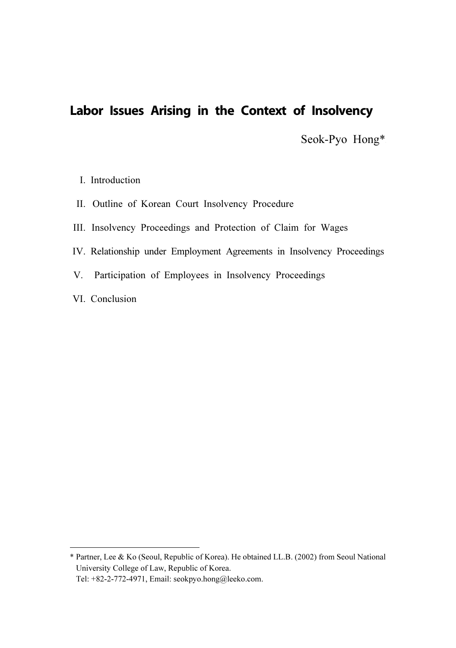# **Labor Issues Arising in the Context of Insolvency**

Seok-Pyo Hong\*<sup>1</sup>

- I. Introduction
- II. Outline of Korean Court Insolvency Procedure
- III. Insolvency Proceedings and Protection of Claim for Wages
- IV. Relationship under Employment Agreements in Insolvency Proceedings
- V. Participation of Employees in Insolvency Proceedings
- VI. Conclusion

<sup>\*</sup> Partner, Lee & Ko (Seoul, Republic of Korea). He obtained LL.B. (2002) from Seoul National University College of Law, Republic of Korea. Tel: +82-2-772-4971, Email: seokpyo.hong@leeko.com.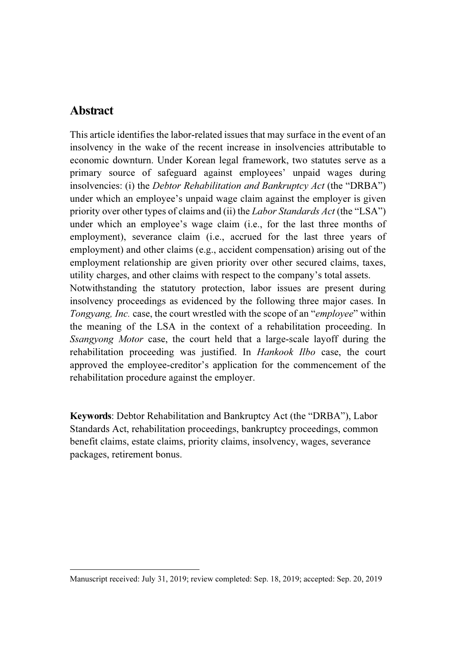### **Abstract**

This article identifies the labor-related issues that may surface in the event of an insolvency in the wake of the recent increase in insolvencies attributable to economic downturn. Under Korean legal framework, two statutes serve as a primary source of safeguard against employees' unpaid wages during insolvencies: (i) the *Debtor Rehabilitation and Bankruptcy Act* (the "DRBA") under which an employee's unpaid wage claim against the employer is given priority over other types of claims and (ii) the *Labor Standards Act* (the "LSA") under which an employee's wage claim (i.e., for the last three months of employment), severance claim (i.e., accrued for the last three years of employment) and other claims (e.g., accident compensation) arising out of the employment relationship are given priority over other secured claims, taxes, utility charges, and other claims with respect to the company's total assets. Notwithstanding the statutory protection, labor issues are present during insolvency proceedings as evidenced by the following three major cases. In Tongyang, Inc. case, the court wrestled with the scope of an "employee" within the meaning of the LSA in the context of a rehabilitation proceeding. In Ssangyong Motor case, the court held that a large-scale layoff during the rehabilitation proceeding was justified. In Hankook Ilbo case, the court

approved the employee-creditor's application for the commencement of the rehabilitation procedure against the employer.

Keywords: Debtor Rehabilitation and Bankruptcy Act (the "DRBA"), Labor Standards Act, rehabilitation proceedings, bankruptcy proceedings, common benefit claims, estate claims, priority claims, insolvency, wages, severance packages, retirement bonus.<sup>2</sup>

Manuscript received: July 31, 2019; review completed: Sep. 18, 2019; accepted: Sep. 20, 2019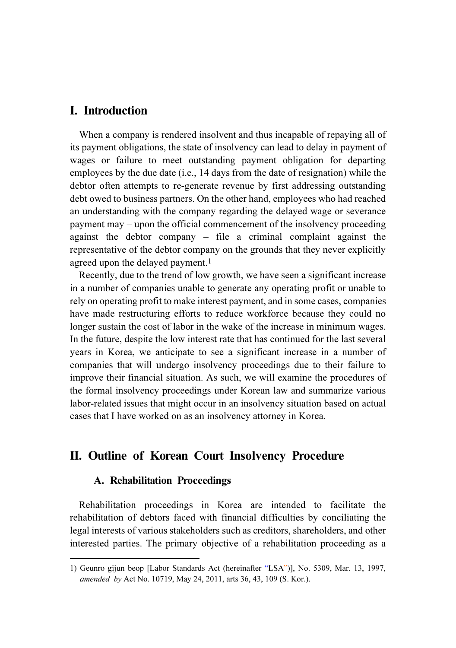### I. Introduction

When a company is rendered insolvent and thus incapable of repaying all of its payment obligations, the state of insolvency can lead to delay in payment of wages or failure to meet outstanding payment obligation for departing employees by the due date (i.e., 14 days from the date of resignation) while the debtor often attempts to re-generate revenue by first addressing outstanding debt owed to business partners. On the other hand, employees who had reached an understanding with the company regarding the delayed wage or severance payment may – upon the official commencement of the insolvency proceeding against the debtor company – file a criminal complaint against the representative of the debtor company on the grounds that they never explicitly agreed upon the delayed payment.<sup>1</sup>

Recently, due to the trend of low growth, we have seen a significant increase in a number of companies unable to generate any operating profit or unable to rely on operating profit to make interest payment, and in some cases, companies have made restructuring efforts to reduce workforce because they could no longer sustain the cost of labor in the wake of the increase in minimum wages. In the future, despite the low interest rate that has continued for the last several years in Korea, we anticipate to see a significant increase in a number of companies that will undergo insolvency proceedings due to their failure to improve their financial situation. As such, we will examine the procedures of the formal insolvency proceedings under Korean law and summarize various labor-related issues that might occur in an insolvency situation based on actual cases that I have worked on as an insolvency attorney in Korea.

#### II. Outline of Korean Court Insolvency Procedure

#### A. Rehabilitation Proceedings

Rehabilitation proceedings in Korea are intended to facilitate the rehabilitation of debtors faced with financial difficulties by conciliating the legal interests of various stakeholders such as creditors, shareholders, and other interested parties. The primary objective of a rehabilitation proceeding as a

<sup>1)</sup> Geunro gijun beop [Labor Standards Act (hereinafter "LSA")], No. 5309, Mar. 13, 1997, amended by Act No. 10719, May 24, 2011, arts 36, 43, 109 (S. Kor.).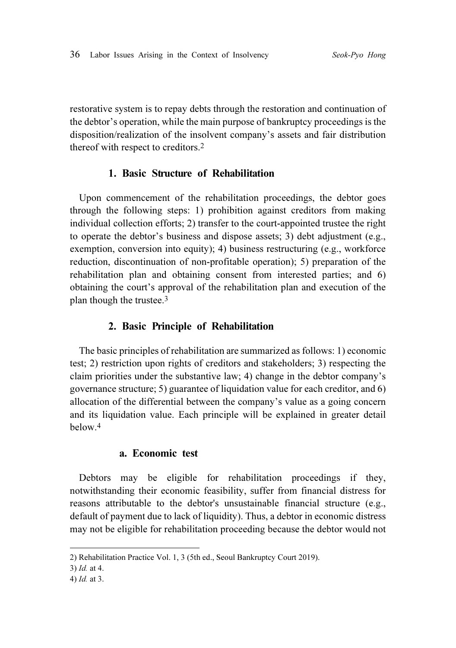restorative system is to repay debts through the restoration and continuation of the debtor's operation, while the main purpose of bankruptcy proceedings is the disposition/realization of the insolvent company's assets and fair distribution thereof with respect to creditors.<sup>2</sup>

#### 1. Basic Structure of Rehabilitation

Upon commencement of the rehabilitation proceedings, the debtor goes through the following steps: 1) prohibition against creditors from making individual collection efforts; 2) transfer to the court-appointed trustee the right to operate the debtor's business and dispose assets; 3) debt adjustment (e.g., exemption, conversion into equity); 4) business restructuring (e.g., workforce reduction, discontinuation of non-profitable operation); 5) preparation of the rehabilitation plan and obtaining consent from interested parties; and 6) obtaining the court's approval of the rehabilitation plan and execution of the plan though the trustee.<sup>3</sup>

#### 2. Basic Principle of Rehabilitation

The basic principles of rehabilitation are summarized as follows: 1) economic test; 2) restriction upon rights of creditors and stakeholders; 3) respecting the claim priorities under the substantive law; 4) change in the debtor company's governance structure; 5) guarantee of liquidation value for each creditor, and 6) allocation of the differential between the company's value as a going concern and its liquidation value. Each principle will be explained in greater detail below.<sup>4</sup>

#### a. Economic test

Debtors may be eligible for rehabilitation proceedings if they, notwithstanding their economic feasibility, suffer from financial distress for reasons attributable to the debtor's unsustainable financial structure (e.g., default of payment due to lack of liquidity). Thus, a debtor in economic distress may not be eligible for rehabilitation proceeding because the debtor would not

<sup>2)</sup> Rehabilitation Practice Vol. 1, 3 (5th ed., Seoul Bankruptcy Court 2019).

<sup>3)</sup> Id. at 4.

<sup>4)</sup> Id. at 3.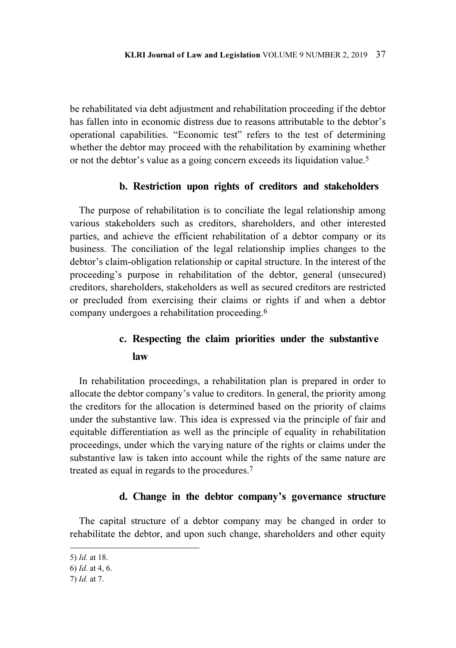be rehabilitated via debt adjustment and rehabilitation proceeding if the debtor has fallen into in economic distress due to reasons attributable to the debtor's operational capabilities. "Economic test" refers to the test of determining whether the debtor may proceed with the rehabilitation by examining whether or not the debtor's value as a going concern exceeds its liquidation value.<sup>5</sup>

#### b. Restriction upon rights of creditors and stakeholders

The purpose of rehabilitation is to conciliate the legal relationship among various stakeholders such as creditors, shareholders, and other interested parties, and achieve the efficient rehabilitation of a debtor company or its business. The conciliation of the legal relationship implies changes to the debtor's claim-obligation relationship or capital structure. In the interest of the proceeding's purpose in rehabilitation of the debtor, general (unsecured) creditors, shareholders, stakeholders as well as secured creditors are restricted or precluded from exercising their claims or rights if and when a debtor company undergoes a rehabilitation proceeding.<sup>6</sup>

## c. Respecting the claim priorities under the substantive law

In rehabilitation proceedings, a rehabilitation plan is prepared in order to allocate the debtor company's value to creditors. In general, the priority among the creditors for the allocation is determined based on the priority of claims under the substantive law. This idea is expressed via the principle of fair and equitable differentiation as well as the principle of equality in rehabilitation proceedings, under which the varying nature of the rights or claims under the substantive law is taken into account while the rights of the same nature are treated as equal in regards to the procedures.<sup>7</sup>

#### d. Change in the debtor company's governance structure

The capital structure of a debtor company may be changed in order to rehabilitate the debtor, and upon such change, shareholders and other equity

<sup>5)</sup> Id. at 18.

<sup>6)</sup> Id. at 4, 6.

<sup>7)</sup> Id. at 7.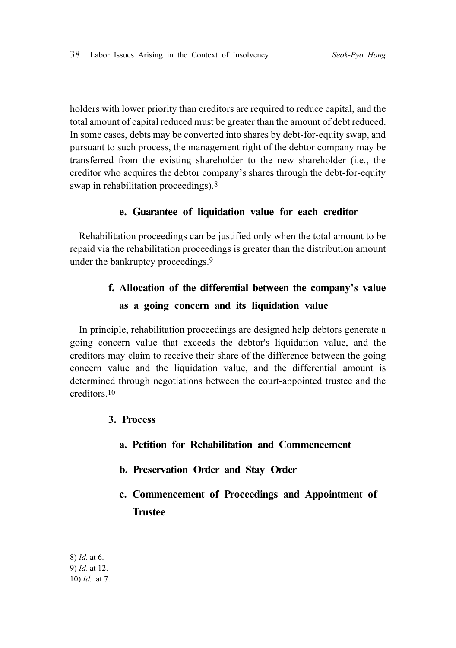holders with lower priority than creditors are required to reduce capital, and the total amount of capital reduced must be greater than the amount of debt reduced. In some cases, debts may be converted into shares by debt-for-equity swap, and pursuant to such process, the management right of the debtor company may be transferred from the existing shareholder to the new shareholder (i.e., the creditor who acquires the debtor company's shares through the debt-for-equity swap in rehabilitation proceedings).<sup>8</sup>

#### e. Guarantee of liquidation value for each creditor

Rehabilitation proceedings can be justified only when the total amount to be repaid via the rehabilitation proceedings is greater than the distribution amount under the bankruptcy proceedings.<sup>9</sup>

# f. Allocation of the differential between the company's value as a going concern and its liquidation value

In principle, rehabilitation proceedings are designed help debtors generate a going concern value that exceeds the debtor's liquidation value, and the creditors may claim to receive their share of the difference between the going concern value and the liquidation value, and the differential amount is determined through negotiations between the court-appointed trustee and the creditors.<sup>10</sup>

- 3. Process
	- a. Petition for Rehabilitation and Commencement
	- b. Preservation Order and Stay Order
	- c. Commencement of Proceedings and Appointment of Trustee

8) Id. at 6. 9) Id. at 12. 10) Id. at 7.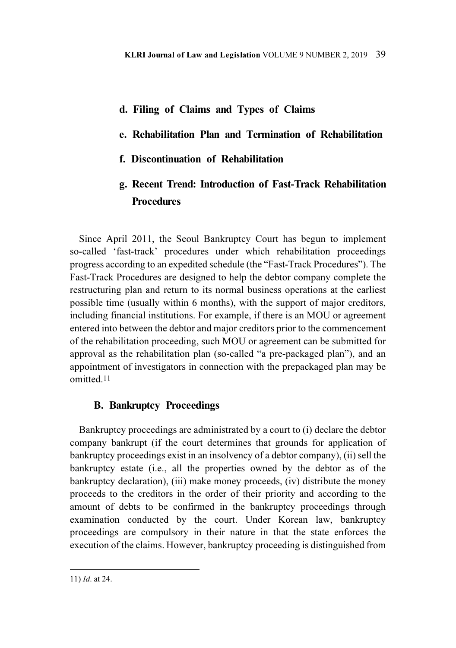#### d. Filing of Claims and Types of Claims

#### e. Rehabilitation Plan and Termination of Rehabilitation

f. Discontinuation of Rehabilitation

## g. Recent Trend: Introduction of Fast-Track Rehabilitation **Procedures**

Since April 2011, the Seoul Bankruptcy Court has begun to implement so-called 'fast-track' procedures under which rehabilitation proceedings progress according to an expedited schedule (the "Fast-Track Procedures"). The Fast-Track Procedures are designed to help the debtor company complete the restructuring plan and return to its normal business operations at the earliest possible time (usually within 6 months), with the support of major creditors, including financial institutions. For example, if there is an MOU or agreement entered into between the debtor and major creditors prior to the commencement of the rehabilitation proceeding, such MOU or agreement can be submitted for approval as the rehabilitation plan (so-called "a pre-packaged plan"), and an appointment of investigators in connection with the prepackaged plan may be omitted.<sup>11</sup>

#### B. Bankruptcy Proceedings

Bankruptcy proceedings are administrated by a court to (i) declare the debtor company bankrupt (if the court determines that grounds for application of bankruptcy proceedings exist in an insolvency of a debtor company), (ii) sell the bankruptcy estate (i.e., all the properties owned by the debtor as of the bankruptcy declaration), (iii) make money proceeds, (iv) distribute the money proceeds to the creditors in the order of their priority and according to the amount of debts to be confirmed in the bankruptcy proceedings through examination conducted by the court. Under Korean law, bankruptcy proceedings are compulsory in their nature in that the state enforces the execution of the claims. However, bankruptcy proceeding is distinguished from

<sup>11)</sup> Id. at 24.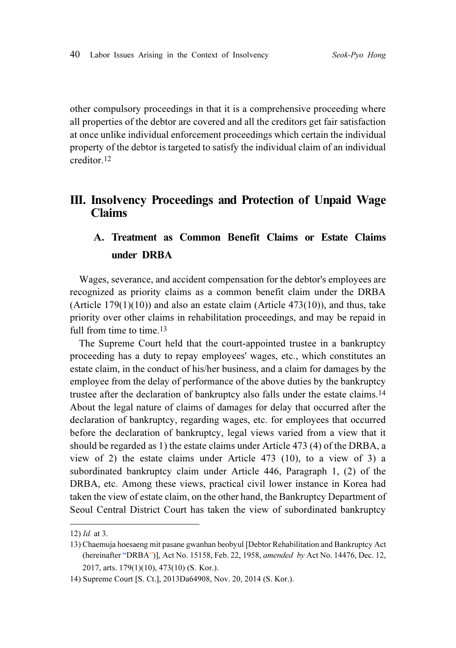other compulsory proceedings in that it is a comprehensive proceeding where all properties of the debtor are covered and all the creditors get fair satisfaction at once unlike individual enforcement proceedings which certain the individual property of the debtor is targeted to satisfy the individual claim of an individual creditor.<sup>12</sup>

### III. Insolvency Proceedings and Protection of Unpaid Wage Claims

# A. Treatment as Common Benefit Claims or Estate Claims under DRBA

Wages, severance, and accident compensation for the debtor's employees are recognized as priority claims as a common benefit claim under the DRBA (Article  $179(1)(10)$ ) and also an estate claim (Article  $473(10)$ ), and thus, take priority over other claims in rehabilitation proceedings, and may be repaid in full from time to time.<sup>13</sup>

The Supreme Court held that the court-appointed trustee in a bankruptcy proceeding has a duty to repay employees' wages, etc., which constitutes an estate claim, in the conduct of his/her business, and a claim for damages by the employee from the delay of performance of the above duties by the bankruptcy trustee after the declaration of bankruptcy also falls under the estate claims.<sup>14</sup> About the legal nature of claims of damages for delay that occurred after the declaration of bankruptcy, regarding wages, etc. for employees that occurred before the declaration of bankruptcy, legal views varied from a view that it should be regarded as 1) the estate claims under Article 473 (4) of the DRBA, a view of 2) the estate claims under Article 473 (10), to a view of 3) a subordinated bankruptcy claim under Article 446, Paragraph 1, (2) of the DRBA, etc. Among these views, practical civil lower instance in Korea had taken the view of estate claim, on the other hand, the Bankruptcy Department of Seoul Central District Court has taken the view of subordinated bankruptcy

<sup>12)</sup> Id. at 3.

<sup>13)</sup> Chaemuja hoesaeng mit pasane gwanhan beobyul [Debtor Rehabilitation and Bankruptcy Act (hereinafter "DRBA")], Act No. 15158, Feb. 22, 1958, amended by Act No. 14476, Dec. 12, 2017, arts. 179(1)(10), 473(10) (S. Kor.).

<sup>14)</sup> Supreme Court [S. Ct.], 2013Da64908, Nov. 20, 2014 (S. Kor.).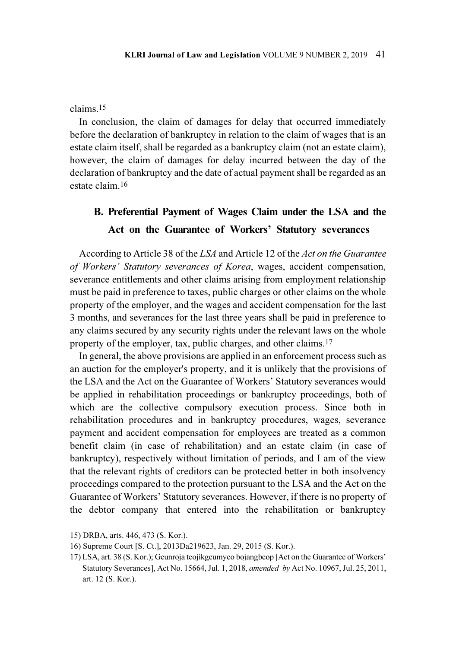#### claims.<sup>15</sup>

In conclusion, the claim of damages for delay that occurred immediately before the declaration of bankruptcy in relation to the claim of wages that is an estate claim itself, shall be regarded as a bankruptcy claim (not an estate claim), however, the claim of damages for delay incurred between the day of the declaration of bankruptcy and the date of actual payment shall be regarded as an estate claim.<sup>16</sup>

# B. Preferential Payment of Wages Claim under the LSA and the Act on the Guarantee of Workers' Statutory severances

According to Article 38 of the LSA and Article 12 of the Act on the Guarantee of Workers' Statutory severances of Korea, wages, accident compensation, severance entitlements and other claims arising from employment relationship must be paid in preference to taxes, public charges or other claims on the whole property of the employer, and the wages and accident compensation for the last 3 months, and severances for the last three years shall be paid in preference to any claims secured by any security rights under the relevant laws on the whole property of the employer, tax, public charges, and other claims.<sup>17</sup>

In general, the above provisions are applied in an enforcement process such as an auction for the employer's property, and it is unlikely that the provisions of the LSA and the Act on the Guarantee of Workers' Statutory severances would be applied in rehabilitation proceedings or bankruptcy proceedings, both of which are the collective compulsory execution process. Since both in rehabilitation procedures and in bankruptcy procedures, wages, severance payment and accident compensation for employees are treated as a common benefit claim (in case of rehabilitation) and an estate claim (in case of bankruptcy), respectively without limitation of periods, and I am of the view that the relevant rights of creditors can be protected better in both insolvency proceedings compared to the protection pursuant to the LSA and the Act on the Guarantee of Workers' Statutory severances. However, if there is no property of the debtor company that entered into the rehabilitation or bankruptcy

<sup>15)</sup> DRBA, arts. 446, 473 (S. Kor.).

<sup>16)</sup> Supreme Court [S. Ct.], 2013Da219623, Jan. 29, 2015 (S. Kor.).

<sup>17)</sup> LSA, art. 38 (S. Kor.); Geunroja teojikgeumyeo bojangbeop [Act on the Guarantee of Workers' Statutory Severances], Act No. 15664, Jul. 1, 2018, amended by Act No. 10967, Jul. 25, 2011, art. 12 (S. Kor.).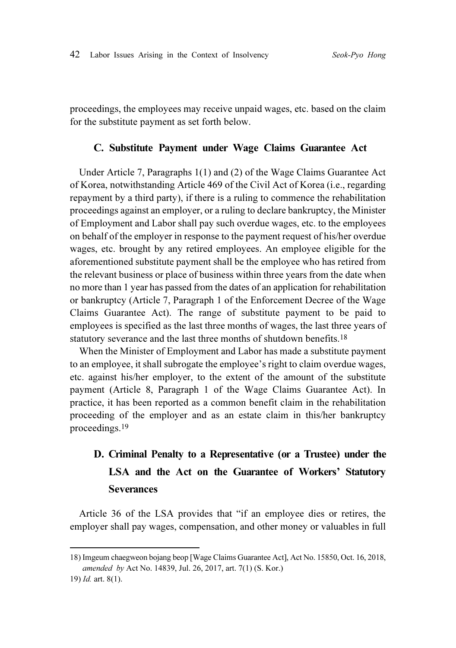proceedings, the employees may receive unpaid wages, etc. based on the claim for the substitute payment as set forth below.

#### C. Substitute Payment under Wage Claims Guarantee Act

Under Article 7, Paragraphs 1(1) and (2) of the Wage Claims Guarantee Act of Korea, notwithstanding Article 469 of the Civil Act of Korea (i.e., regarding repayment by a third party), if there is a ruling to commence the rehabilitation proceedings against an employer, or a ruling to declare bankruptcy, the Minister of Employment and Labor shall pay such overdue wages, etc. to the employees on behalf of the employer in response to the payment request of his/her overdue wages, etc. brought by any retired employees. An employee eligible for the aforementioned substitute payment shall be the employee who has retired from the relevant business or place of business within three years from the date when no more than 1 year has passed from the dates of an application for rehabilitation or bankruptcy (Article 7, Paragraph 1 of the Enforcement Decree of the Wage Claims Guarantee Act). The range of substitute payment to be paid to employees is specified as the last three months of wages, the last three years of statutory severance and the last three months of shutdown benefits.<sup>18</sup>

When the Minister of Employment and Labor has made a substitute payment to an employee, it shall subrogate the employee's right to claim overdue wages, etc. against his/her employer, to the extent of the amount of the substitute payment (Article 8, Paragraph 1 of the Wage Claims Guarantee Act). In practice, it has been reported as a common benefit claim in the rehabilitation proceeding of the employer and as an estate claim in this/her bankruptcy proceedings.<sup>19</sup>

# D. Criminal Penalty to a Representative (or a Trustee) under the LSA and the Act on the Guarantee of Workers' Statutory **Severances**

Article 36 of the LSA provides that "if an employee dies or retires, the employer shall pay wages, compensation, and other money or valuables in full

<sup>18)</sup> Imgeum chaegweon bojang beop [Wage Claims Guarantee Act], Act No. 15850, Oct. 16, 2018, amended by Act No. 14839, Jul. 26, 2017, art. 7(1) (S. Kor.)

<sup>19)</sup> Id. art. 8(1).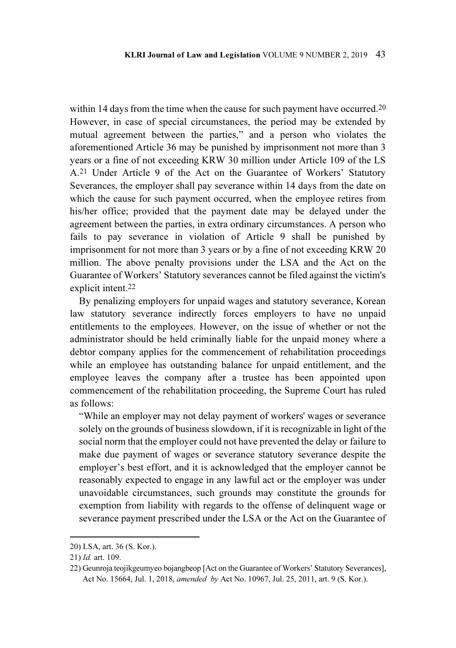within 14 days from the time when the cause for such payment have occurred.<sup>20</sup> However, in case of special circumstances, the period may be extended by mutual agreement between the parties," and a person who violates the aforementioned Article 36 may be punished by imprisonment not more than 3 years or a fine of not exceeding KRW 30 million under Article 109 of the LS A.21 Under Article 9 of the Act on the Guarantee of Workers' Statutory Severances, the employer shall pay severance within 14 days from the date on which the cause for such payment occurred, when the employee retires from his/her office; provided that the payment date may be delayed under the agreement between the parties, in extra ordinary circumstances. A person who fails to pay severance in violation of Article 9 shall be punished by imprisonment for not more than 3 years or by a fine of not exceeding KRW 20 million. The above penalty provisions under the LSA and the Act on the Guarantee of Workers' Statutory severances cannot be filed against the victim's explicit intent.<sup>22</sup>

By penalizing employers for unpaid wages and statutory severance, Korean law statutory severance indirectly forces employers to have no unpaid entitlements to the employees. However, on the issue of whether or not the administrator should be held criminally liable for the unpaid money where a debtor company applies for the commencement of rehabilitation proceedings while an employee has outstanding balance for unpaid entitlement, and the employee leaves the company after a trustee has been appointed upon commencement of the rehabilitation proceeding, the Supreme Court has ruled as follows:

"While an employer may not delay payment of workers' wages or severance solely on the grounds of business slowdown, if it is recognizable in light of the social norm that the employer could not have prevented the delay or failure to make due payment of wages or severance statutory severance despite the employer's best effort, and it is acknowledged that the employer cannot be reasonably expected to engage in any lawful act or the employer was under unavoidable circumstances, such grounds may constitute the grounds for exemption from liability with regards to the offense of delinquent wage or severance payment prescribed under the LSA or the Act on the Guarantee of

<sup>20)</sup> LSA, art. 36 (S. Kor.).

<sup>21)</sup> Id. art. 109.

<sup>22)</sup> Geunroja teojikgeumyeo bojangbeop [Act on the Guarantee of Workers' Statutory Severances], Act No. 15664, Jul. 1, 2018, amended by Act No. 10967, Jul. 25, 2011, art. 9 (S. Kor.).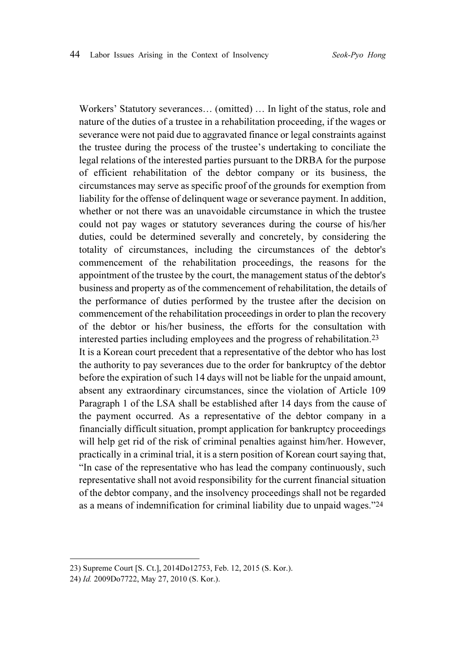Workers' Statutory severances… (omitted) … In light of the status, role and nature of the duties of a trustee in a rehabilitation proceeding, if the wages or severance were not paid due to aggravated finance or legal constraints against the trustee during the process of the trustee's undertaking to conciliate the legal relations of the interested parties pursuant to the DRBA for the purpose of efficient rehabilitation of the debtor company or its business, the circumstances may serve as specific proof of the grounds for exemption from liability for the offense of delinquent wage or severance payment. In addition, whether or not there was an unavoidable circumstance in which the trustee could not pay wages or statutory severances during the course of his/her duties, could be determined severally and concretely, by considering the totality of circumstances, including the circumstances of the debtor's commencement of the rehabilitation proceedings, the reasons for the appointment of the trustee by the court, the management status of the debtor's business and property as of the commencement of rehabilitation, the details of the performance of duties performed by the trustee after the decision on commencement of the rehabilitation proceedings in order to plan the recovery of the debtor or his/her business, the efforts for the consultation with interested parties including employees and the progress of rehabilitation.<sup>23</sup> It is a Korean court precedent that a representative of the debtor who has lost the authority to pay severances due to the order for bankruptcy of the debtor before the expiration of such 14 days will not be liable for the unpaid amount, absent any extraordinary circumstances, since the violation of Article 109 Paragraph 1 of the LSA shall be established after 14 days from the cause of the payment occurred. As a representative of the debtor company in a financially difficult situation, prompt application for bankruptcy proceedings will help get rid of the risk of criminal penalties against him/her. However, practically in a criminal trial, it is a stern position of Korean court saying that, "In case of the representative who has lead the company continuously, such representative shall not avoid responsibility for the current financial situation of the debtor company, and the insolvency proceedings shall not be regarded as a means of indemnification for criminal liability due to unpaid wages."<sup>24</sup>

<sup>23)</sup> Supreme Court [S. Ct.], 2014Do12753, Feb. 12, 2015 (S. Kor.).

<sup>24)</sup> Id. 2009Do7722, May 27, 2010 (S. Kor.).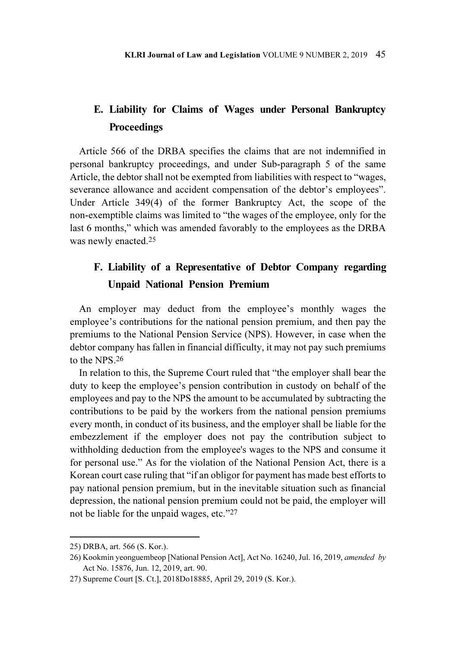# E. Liability for Claims of Wages under Personal Bankruptcy **Proceedings**

Article 566 of the DRBA specifies the claims that are not indemnified in personal bankruptcy proceedings, and under Sub-paragraph 5 of the same Article, the debtor shall not be exempted from liabilities with respect to "wages, severance allowance and accident compensation of the debtor's employees". Under Article 349(4) of the former Bankruptcy Act, the scope of the non-exemptible claims was limited to "the wages of the employee, only for the last 6 months," which was amended favorably to the employees as the DRBA was newly enacted.<sup>25</sup>

# F. Liability of a Representative of Debtor Company regarding Unpaid National Pension Premium

An employer may deduct from the employee's monthly wages the employee's contributions for the national pension premium, and then pay the premiums to the National Pension Service (NPS). However, in case when the debtor company has fallen in financial difficulty, it may not pay such premiums to the NPS 26

In relation to this, the Supreme Court ruled that "the employer shall bear the duty to keep the employee's pension contribution in custody on behalf of the employees and pay to the NPS the amount to be accumulated by subtracting the contributions to be paid by the workers from the national pension premiums every month, in conduct of its business, and the employer shall be liable for the embezzlement if the employer does not pay the contribution subject to withholding deduction from the employee's wages to the NPS and consume it for personal use." As for the violation of the National Pension Act, there is a Korean court case ruling that "if an obligor for payment has made best efforts to pay national pension premium, but in the inevitable situation such as financial depression, the national pension premium could not be paid, the employer will not be liable for the unpaid wages, etc."<sup>27</sup>

<sup>25)</sup> DRBA, art. 566 (S. Kor.).

<sup>26)</sup> Kookmin yeonguembeop [National Pension Act], Act No. 16240, Jul. 16, 2019, amended by Act No. 15876, Jun. 12, 2019, art. 90.

<sup>27)</sup> Supreme Court [S. Ct.], 2018Do18885, April 29, 2019 (S. Kor.).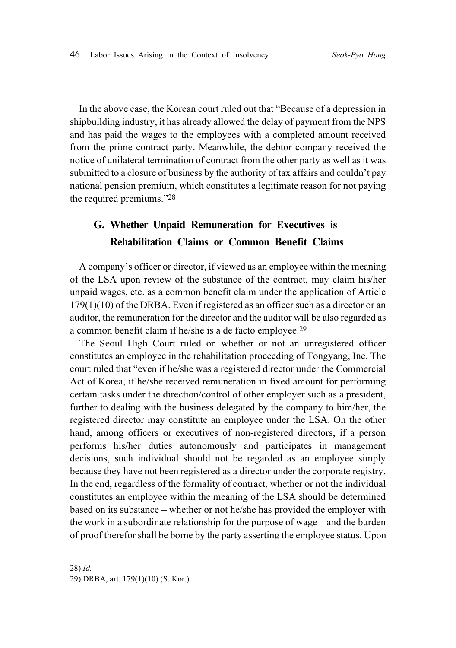In the above case, the Korean court ruled out that "Because of a depression in shipbuilding industry, it has already allowed the delay of payment from the NPS and has paid the wages to the employees with a completed amount received from the prime contract party. Meanwhile, the debtor company received the notice of unilateral termination of contract from the other party as well as it was submitted to a closure of business by the authority of tax affairs and couldn't pay national pension premium, which constitutes a legitimate reason for not paying the required premiums."<sup>28</sup>

## G. Whether Unpaid Remuneration for Executives is Rehabilitation Claims or Common Benefit Claims

A company's officer or director, if viewed as an employee within the meaning of the LSA upon review of the substance of the contract, may claim his/her unpaid wages, etc. as a common benefit claim under the application of Article 179(1)(10) of the DRBA. Even if registered as an officer such as a director or an auditor, the remuneration for the director and the auditor will be also regarded as a common benefit claim if he/she is a de facto employee.<sup>29</sup>

The Seoul High Court ruled on whether or not an unregistered officer constitutes an employee in the rehabilitation proceeding of Tongyang, Inc. The court ruled that "even if he/she was a registered director under the Commercial Act of Korea, if he/she received remuneration in fixed amount for performing certain tasks under the direction/control of other employer such as a president, further to dealing with the business delegated by the company to him/her, the registered director may constitute an employee under the LSA. On the other hand, among officers or executives of non-registered directors, if a person performs his/her duties autonomously and participates in management decisions, such individual should not be regarded as an employee simply because they have not been registered as a director under the corporate registry. In the end, regardless of the formality of contract, whether or not the individual constitutes an employee within the meaning of the LSA should be determined based on its substance – whether or not he/she has provided the employer with the work in a subordinate relationship for the purpose of wage – and the burden of proof therefor shall be borne by the party asserting the employee status. Upon

<sup>28)</sup> Id.

<sup>29)</sup> DRBA, art. 179(1)(10) (S. Kor.).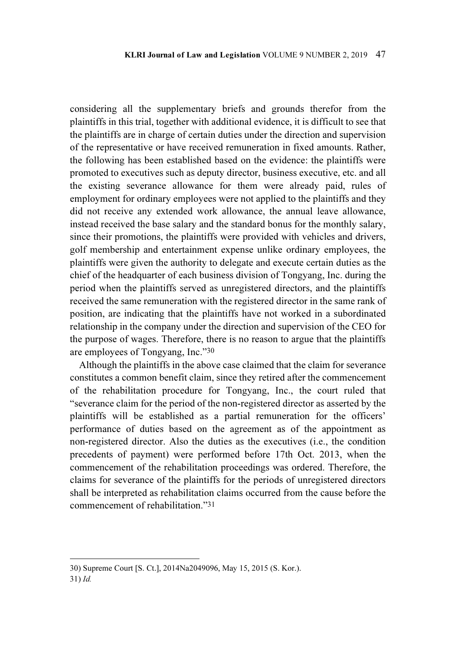considering all the supplementary briefs and grounds therefor from the plaintiffs in this trial, together with additional evidence, it is difficult to see that the plaintiffs are in charge of certain duties under the direction and supervision of the representative or have received remuneration in fixed amounts. Rather, the following has been established based on the evidence: the plaintiffs were promoted to executives such as deputy director, business executive, etc. and all the existing severance allowance for them were already paid, rules of employment for ordinary employees were not applied to the plaintiffs and they did not receive any extended work allowance, the annual leave allowance, instead received the base salary and the standard bonus for the monthly salary, since their promotions, the plaintiffs were provided with vehicles and drivers, golf membership and entertainment expense unlike ordinary employees, the plaintiffs were given the authority to delegate and execute certain duties as the chief of the headquarter of each business division of Tongyang, Inc. during the period when the plaintiffs served as unregistered directors, and the plaintiffs received the same remuneration with the registered director in the same rank of position, are indicating that the plaintiffs have not worked in a subordinated relationship in the company under the direction and supervision of the CEO for the purpose of wages. Therefore, there is no reason to argue that the plaintiffs are employees of Tongyang, Inc."<sup>30</sup>

Although the plaintiffs in the above case claimed that the claim for severance constitutes a common benefit claim, since they retired after the commencement of the rehabilitation procedure for Tongyang, Inc., the court ruled that "severance claim for the period of the non-registered director as asserted by the plaintiffs will be established as a partial remuneration for the officers' performance of duties based on the agreement as of the appointment as non-registered director. Also the duties as the executives (i.e., the condition precedents of payment) were performed before 17th Oct. 2013, when the commencement of the rehabilitation proceedings was ordered. Therefore, the claims for severance of the plaintiffs for the periods of unregistered directors shall be interpreted as rehabilitation claims occurred from the cause before the commencement of rehabilitation."<sup>31</sup>

<sup>30)</sup> Supreme Court [S. Ct.], 2014Na2049096, May 15, 2015 (S. Kor.).

<sup>31)</sup> Id.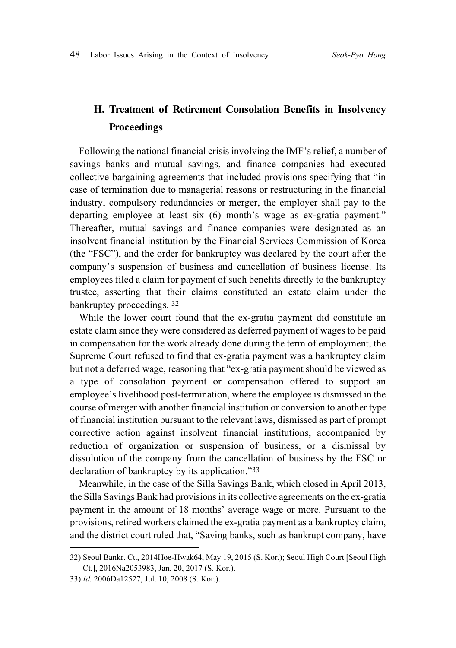# H. Treatment of Retirement Consolation Benefits in Insolvency **Proceedings**

Following the national financial crisis involving the IMF's relief, a number of savings banks and mutual savings, and finance companies had executed collective bargaining agreements that included provisions specifying that "in case of termination due to managerial reasons or restructuring in the financial industry, compulsory redundancies or merger, the employer shall pay to the departing employee at least six (6) month's wage as ex-gratia payment." Thereafter, mutual savings and finance companies were designated as an insolvent financial institution by the Financial Services Commission of Korea (the "FSC"), and the order for bankruptcy was declared by the court after the company's suspension of business and cancellation of business license. Its employees filed a claim for payment of such benefits directly to the bankruptcy trustee, asserting that their claims constituted an estate claim under the bankruptcy proceedings. <sup>32</sup>

While the lower court found that the ex-gratia payment did constitute an estate claim since they were considered as deferred payment of wages to be paid in compensation for the work already done during the term of employment, the Supreme Court refused to find that ex-gratia payment was a bankruptcy claim but not a deferred wage, reasoning that "ex-gratia payment should be viewed as a type of consolation payment or compensation offered to support an employee's livelihood post-termination, where the employee is dismissed in the course of merger with another financial institution or conversion to another type of financial institution pursuant to the relevant laws, dismissed as part of prompt corrective action against insolvent financial institutions, accompanied by reduction of organization or suspension of business, or a dismissal by dissolution of the company from the cancellation of business by the FSC or declaration of bankruptcy by its application."<sup>33</sup>

Meanwhile, in the case of the Silla Savings Bank, which closed in April 2013, the Silla Savings Bank had provisions in its collective agreements on the ex-gratia payment in the amount of 18 months' average wage or more. Pursuant to the provisions, retired workers claimed the ex-gratia payment as a bankruptcy claim, and the district court ruled that, "Saving banks, such as bankrupt company, have

<sup>32)</sup> Seoul Bankr. Ct., 2014Hoe-Hwak64, May 19, 2015 (S. Kor.); Seoul High Court [Seoul High Ct.], 2016Na2053983, Jan. 20, 2017 (S. Kor.).

<sup>33)</sup> Id. 2006Da12527, Jul. 10, 2008 (S. Kor.).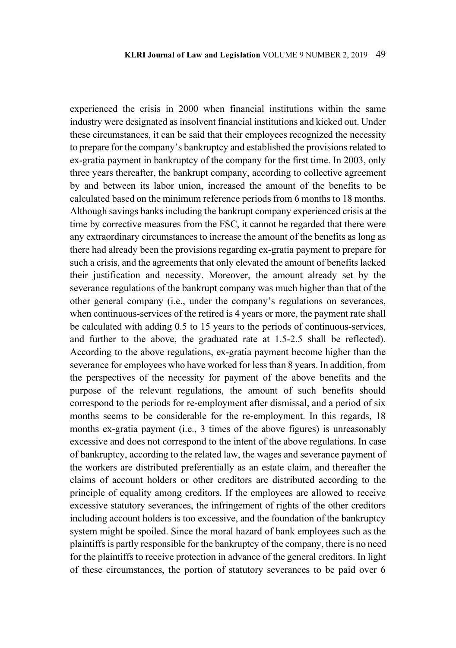experienced the crisis in 2000 when financial institutions within the same industry were designated as insolvent financial institutions and kicked out. Under these circumstances, it can be said that their employees recognized the necessity to prepare for the company's bankruptcy and established the provisions related to ex-gratia payment in bankruptcy of the company for the first time. In 2003, only three years thereafter, the bankrupt company, according to collective agreement by and between its labor union, increased the amount of the benefits to be calculated based on the minimum reference periods from 6 months to 18 months. Although savings banks including the bankrupt company experienced crisis at the time by corrective measures from the FSC, it cannot be regarded that there were any extraordinary circumstances to increase the amount of the benefits as long as there had already been the provisions regarding ex-gratia payment to prepare for such a crisis, and the agreements that only elevated the amount of benefits lacked their justification and necessity. Moreover, the amount already set by the severance regulations of the bankrupt company was much higher than that of the other general company (i.e., under the company's regulations on severances, when continuous-services of the retired is 4 years or more, the payment rate shall be calculated with adding 0.5 to 15 years to the periods of continuous-services, and further to the above, the graduated rate at 1.5-2.5 shall be reflected). According to the above regulations, ex-gratia payment become higher than the severance for employees who have worked for less than 8 years. In addition, from the perspectives of the necessity for payment of the above benefits and the purpose of the relevant regulations, the amount of such benefits should correspond to the periods for re-employment after dismissal, and a period of six months seems to be considerable for the re-employment. In this regards, 18 months ex-gratia payment (i.e., 3 times of the above figures) is unreasonably excessive and does not correspond to the intent of the above regulations. In case of bankruptcy, according to the related law, the wages and severance payment of the workers are distributed preferentially as an estate claim, and thereafter the claims of account holders or other creditors are distributed according to the principle of equality among creditors. If the employees are allowed to receive excessive statutory severances, the infringement of rights of the other creditors including account holders is too excessive, and the foundation of the bankruptcy system might be spoiled. Since the moral hazard of bank employees such as the plaintiffs is partly responsible for the bankruptcy of the company, there is no need for the plaintiffs to receive protection in advance of the general creditors. In light of these circumstances, the portion of statutory severances to be paid over 6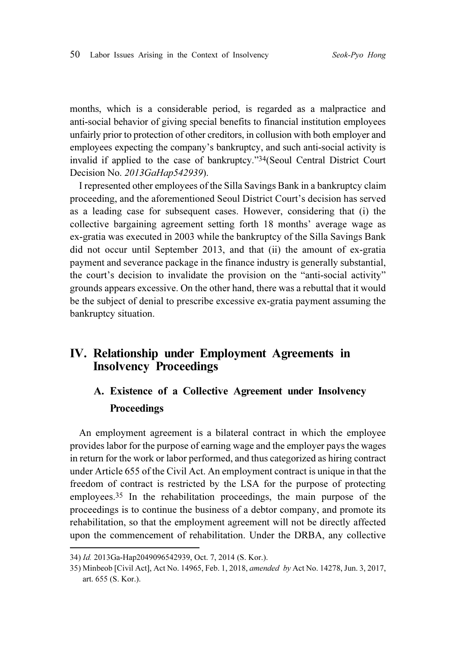months, which is a considerable period, is regarded as a malpractice and anti-social behavior of giving special benefits to financial institution employees unfairly prior to protection of other creditors, in collusion with both employer and employees expecting the company's bankruptcy, and such anti-social activity is invalid if applied to the case of bankruptcy."34(Seoul Central District Court Decision No. 2013GaHap542939).

I represented other employees of the Silla Savings Bank in a bankruptcy claim proceeding, and the aforementioned Seoul District Court's decision has served as a leading case for subsequent cases. However, considering that (i) the collective bargaining agreement setting forth 18 months' average wage as ex-gratia was executed in 2003 while the bankruptcy of the Silla Savings Bank did not occur until September 2013, and that (ii) the amount of ex-gratia payment and severance package in the finance industry is generally substantial, the court's decision to invalidate the provision on the "anti-social activity" grounds appears excessive. On the other hand, there was a rebuttal that it would be the subject of denial to prescribe excessive ex-gratia payment assuming the bankruptcy situation.

### IV. Relationship under Employment Agreements in Insolvency Proceedings

## A. Existence of a Collective Agreement under Insolvency **Proceedings**

An employment agreement is a bilateral contract in which the employee provides labor for the purpose of earning wage and the employer pays the wages in return for the work or labor performed, and thus categorized as hiring contract under Article 655 of the Civil Act. An employment contract is unique in that the freedom of contract is restricted by the LSA for the purpose of protecting employees.35 In the rehabilitation proceedings, the main purpose of the proceedings is to continue the business of a debtor company, and promote its rehabilitation, so that the employment agreement will not be directly affected upon the commencement of rehabilitation. Under the DRBA, any collective

<sup>34)</sup> Id. 2013Ga-Hap2049096542939, Oct. 7, 2014 (S. Kor.).

<sup>35)</sup> Minbeob [Civil Act], Act No. 14965, Feb. 1, 2018, amended by Act No. 14278, Jun. 3, 2017, art. 655 (S. Kor.).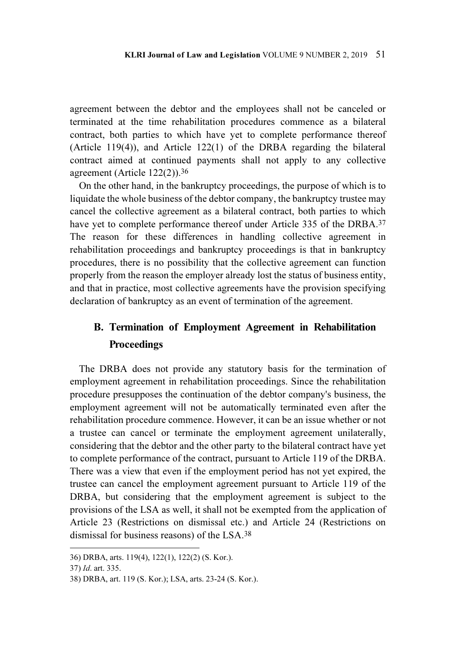agreement between the debtor and the employees shall not be canceled or terminated at the time rehabilitation procedures commence as a bilateral contract, both parties to which have yet to complete performance thereof (Article 119(4)), and Article 122(1) of the DRBA regarding the bilateral contract aimed at continued payments shall not apply to any collective agreement (Article 122(2)).<sup>36</sup>

On the other hand, in the bankruptcy proceedings, the purpose of which is to liquidate the whole business of the debtor company, the bankruptcy trustee may cancel the collective agreement as a bilateral contract, both parties to which have yet to complete performance thereof under Article 335 of the DRBA.<sup>37</sup> The reason for these differences in handling collective agreement in rehabilitation proceedings and bankruptcy proceedings is that in bankruptcy procedures, there is no possibility that the collective agreement can function properly from the reason the employer already lost the status of business entity, and that in practice, most collective agreements have the provision specifying declaration of bankruptcy as an event of termination of the agreement.

## B. Termination of Employment Agreement in Rehabilitation **Proceedings**

The DRBA does not provide any statutory basis for the termination of employment agreement in rehabilitation proceedings. Since the rehabilitation procedure presupposes the continuation of the debtor company's business, the employment agreement will not be automatically terminated even after the rehabilitation procedure commence. However, it can be an issue whether or not a trustee can cancel or terminate the employment agreement unilaterally, considering that the debtor and the other party to the bilateral contract have yet to complete performance of the contract, pursuant to Article 119 of the DRBA. There was a view that even if the employment period has not yet expired, the trustee can cancel the employment agreement pursuant to Article 119 of the DRBA, but considering that the employment agreement is subject to the provisions of the LSA as well, it shall not be exempted from the application of Article 23 (Restrictions on dismissal etc.) and Article 24 (Restrictions on dismissal for business reasons) of the LSA.<sup>38</sup>

<sup>36)</sup> DRBA, arts. 119(4), 122(1), 122(2) (S. Kor.).

<sup>37)</sup> Id. art. 335.

<sup>38)</sup> DRBA, art. 119 (S. Kor.); LSA, arts. 23-24 (S. Kor.).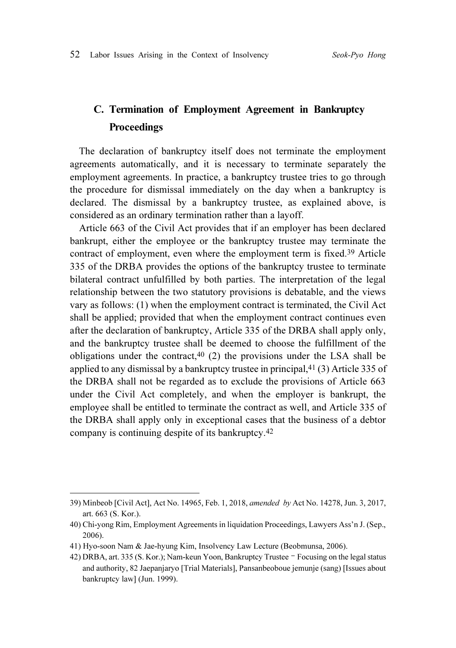# C. Termination of Employment Agreement in Bankruptcy Proceedings

The declaration of bankruptcy itself does not terminate the employment agreements automatically, and it is necessary to terminate separately the employment agreements. In practice, a bankruptcy trustee tries to go through the procedure for dismissal immediately on the day when a bankruptcy is declared. The dismissal by a bankruptcy trustee, as explained above, is considered as an ordinary termination rather than a layoff.

Article 663 of the Civil Act provides that if an employer has been declared bankrupt, either the employee or the bankruptcy trustee may terminate the contract of employment, even where the employment term is fixed.39 Article 335 of the DRBA provides the options of the bankruptcy trustee to terminate bilateral contract unfulfilled by both parties. The interpretation of the legal relationship between the two statutory provisions is debatable, and the views vary as follows: (1) when the employment contract is terminated, the Civil Act shall be applied; provided that when the employment contract continues even after the declaration of bankruptcy, Article 335 of the DRBA shall apply only, and the bankruptcy trustee shall be deemed to choose the fulfillment of the obligations under the contract,  $40$  (2) the provisions under the LSA shall be applied to any dismissal by a bankruptcy trustee in principal,41 (3) Article 335 of the DRBA shall not be regarded as to exclude the provisions of Article 663 under the Civil Act completely, and when the employer is bankrupt, the employee shall be entitled to terminate the contract as well, and Article 335 of the DRBA shall apply only in exceptional cases that the business of a debtor company is continuing despite of its bankruptcy.<sup>42</sup>

<sup>39)</sup> Minbeob [Civil Act], Act No. 14965, Feb. 1, 2018, amended by Act No. 14278, Jun. 3, 2017, art. 663 (S. Kor.). 42) Minbeob [Civil Act], Act No. 14965, Feb. 1, 2018, *amended by* Act No. 14278, Jun. 3, 2017, art. 663 (S. Kor.).<br>40) Chi-yong Rim, Employment Agreements in liquidation Proceedings, Lawyers Ass'n J. (Sep., 2006).<br>41) Hyo

<sup>40)</sup> Chi-yong Rim, Employment Agreements in liquidation Proceedings, Lawyers Ass'n J. (Sep., 2006).

<sup>41)</sup> Hyo-soon Nam & Jae-hyung Kim, Insolvency Law Lecture (Beobmunsa, 2006).

and authority, 82 Jaepanjaryo [Trial Materials], Pansanbeoboue jemunje (sang) [Issues about bankruptcy law] (Jun. 1999).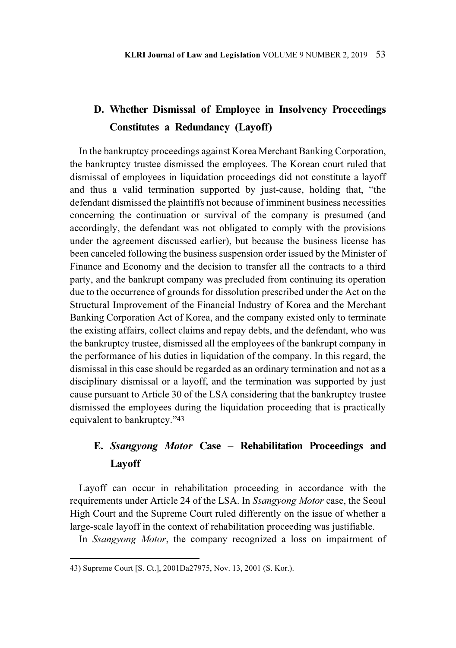# D. Whether Dismissal of Employee in Insolvency Proceedings Constitutes a Redundancy (Layoff)

In the bankruptcy proceedings against Korea Merchant Banking Corporation, the bankruptcy trustee dismissed the employees. The Korean court ruled that dismissal of employees in liquidation proceedings did not constitute a layoff and thus a valid termination supported by just-cause, holding that, "the defendant dismissed the plaintiffs not because of imminent business necessities concerning the continuation or survival of the company is presumed (and accordingly, the defendant was not obligated to comply with the provisions under the agreement discussed earlier), but because the business license has been canceled following the business suspension order issued by the Minister of Finance and Economy and the decision to transfer all the contracts to a third party, and the bankrupt company was precluded from continuing its operation due to the occurrence of grounds for dissolution prescribed under the Act on the Structural Improvement of the Financial Industry of Korea and the Merchant Banking Corporation Act of Korea, and the company existed only to terminate the existing affairs, collect claims and repay debts, and the defendant, who was the bankruptcy trustee, dismissed all the employees of the bankrupt company in the performance of his duties in liquidation of the company. In this regard, the dismissal in this case should be regarded as an ordinary termination and not as a disciplinary dismissal or a layoff, and the termination was supported by just cause pursuant to Article 30 of the LSA considering that the bankruptcy trustee dismissed the employees during the liquidation proceeding that is practically equivalent to bankruptcy."<sup>43</sup>

# E. Ssangyong Motor Case – Rehabilitation Proceedings and Layoff

Layoff can occur in rehabilitation proceeding in accordance with the requirements under Article 24 of the LSA. In Ssangyong Motor case, the Seoul High Court and the Supreme Court ruled differently on the issue of whether a large-scale layoff in the context of rehabilitation proceeding was justifiable.

In Ssangyong Motor, the company recognized a loss on impairment of

<sup>43)</sup> Supreme Court [S. Ct.], 2001Da27975, Nov. 13, 2001 (S. Kor.).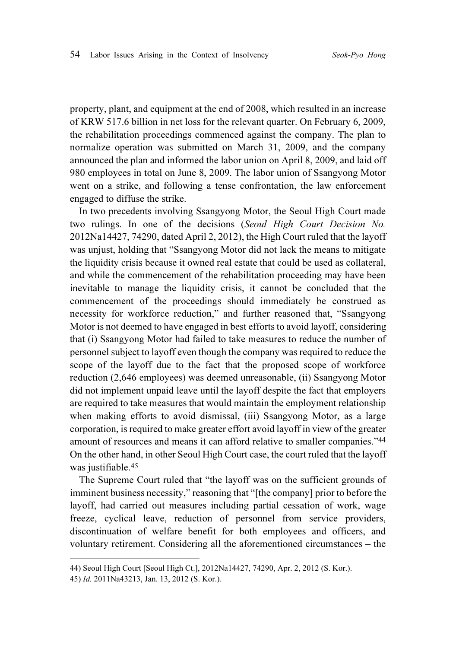property, plant, and equipment at the end of 2008, which resulted in an increase of KRW 517.6 billion in net loss for the relevant quarter. On February 6, 2009, the rehabilitation proceedings commenced against the company. The plan to normalize operation was submitted on March 31, 2009, and the company announced the plan and informed the labor union on April 8, 2009, and laid off 980 employees in total on June 8, 2009. The labor union of Ssangyong Motor went on a strike, and following a tense confrontation, the law enforcement engaged to diffuse the strike.

In two precedents involving Ssangyong Motor, the Seoul High Court made two rulings. In one of the decisions (Seoul High Court Decision No. 2012Na14427, 74290, dated April 2, 2012), the High Court ruled that the layoff was unjust, holding that "Ssangyong Motor did not lack the means to mitigate the liquidity crisis because it owned real estate that could be used as collateral, and while the commencement of the rehabilitation proceeding may have been inevitable to manage the liquidity crisis, it cannot be concluded that the commencement of the proceedings should immediately be construed as necessity for workforce reduction," and further reasoned that, "Ssangyong Motor is not deemed to have engaged in best efforts to avoid layoff, considering that (i) Ssangyong Motor had failed to take measures to reduce the number of personnel subject to layoff even though the company was required to reduce the scope of the layoff due to the fact that the proposed scope of workforce reduction (2,646 employees) was deemed unreasonable, (ii) Ssangyong Motor did not implement unpaid leave until the layoff despite the fact that employers are required to take measures that would maintain the employment relationship when making efforts to avoid dismissal, (iii) Ssangyong Motor, as a large corporation, is required to make greater effort avoid layoff in view of the greater amount of resources and means it can afford relative to smaller companies."<sup>44</sup> On the other hand, in other Seoul High Court case, the court ruled that the layoff was justifiable.<sup>45</sup>

The Supreme Court ruled that "the layoff was on the sufficient grounds of imminent business necessity," reasoning that "[the company] prior to before the layoff, had carried out measures including partial cessation of work, wage freeze, cyclical leave, reduction of personnel from service providers, discontinuation of welfare benefit for both employees and officers, and voluntary retirement. Considering all the aforementioned circumstances – the

<sup>44)</sup> Seoul High Court [Seoul High Ct.], 2012Na14427, 74290, Apr. 2, 2012 (S. Kor.).

<sup>45)</sup> Id. 2011Na43213, Jan. 13, 2012 (S. Kor.).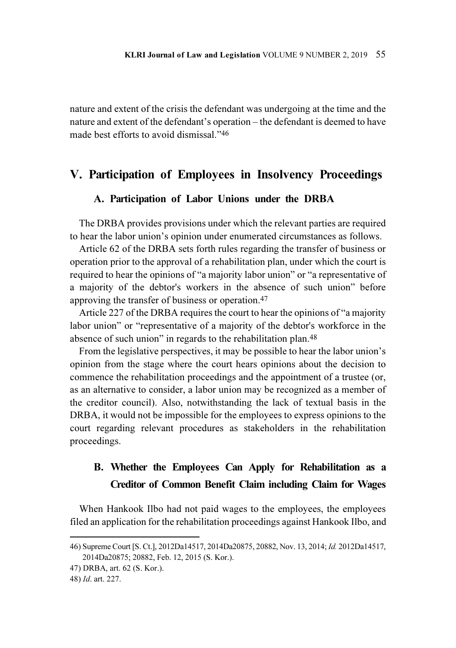nature and extent of the crisis the defendant was undergoing at the time and the nature and extent of the defendant's operation – the defendant is deemed to have made best efforts to avoid dismissal."<sup>46</sup>

### V. Participation of Employees in Insolvency Proceedings

#### A. Participation of Labor Unions under the DRBA

The DRBA provides provisions under which the relevant parties are required to hear the labor union's opinion under enumerated circumstances as follows.

Article 62 of the DRBA sets forth rules regarding the transfer of business or operation prior to the approval of a rehabilitation plan, under which the court is required to hear the opinions of "a majority labor union" or "a representative of a majority of the debtor's workers in the absence of such union" before approving the transfer of business or operation.<sup>47</sup>

Article 227 of the DRBA requires the court to hear the opinions of "a majority labor union" or "representative of a majority of the debtor's workforce in the absence of such union" in regards to the rehabilitation plan.<sup>48</sup>

From the legislative perspectives, it may be possible to hear the labor union's opinion from the stage where the court hears opinions about the decision to commence the rehabilitation proceedings and the appointment of a trustee (or, as an alternative to consider, a labor union may be recognized as a member of the creditor council). Also, notwithstanding the lack of textual basis in the DRBA, it would not be impossible for the employees to express opinions to the court regarding relevant procedures as stakeholders in the rehabilitation proceedings.

## B. Whether the Employees Can Apply for Rehabilitation as a Creditor of Common Benefit Claim including Claim for Wages

When Hankook Ilbo had not paid wages to the employees, the employees filed an application for the rehabilitation proceedings against Hankook Ilbo, and

<sup>46)</sup> Supreme Court [S. Ct.], 2012Da14517, 2014Da20875, 20882, Nov. 13, 2014; Id. 2012Da14517, 2014Da20875; 20882, Feb. 12, 2015 (S. Kor.).

<sup>47)</sup> DRBA, art. 62 (S. Kor.).

<sup>48)</sup> Id. art. 227.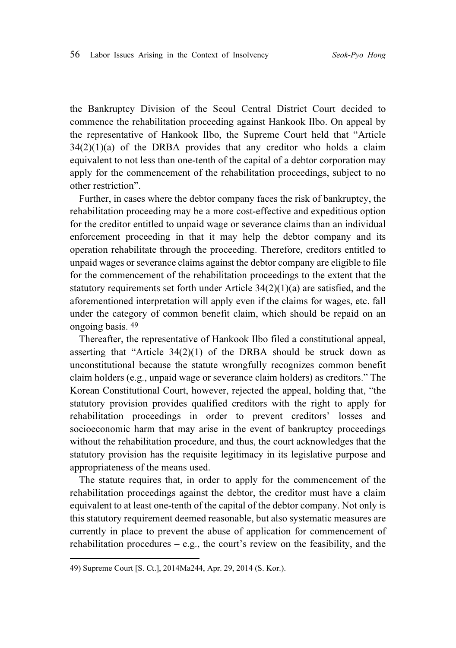the Bankruptcy Division of the Seoul Central District Court decided to commence the rehabilitation proceeding against Hankook Ilbo. On appeal by the representative of Hankook Ilbo, the Supreme Court held that "Article  $34(2)(1)(a)$  of the DRBA provides that any creditor who holds a claim equivalent to not less than one-tenth of the capital of a debtor corporation may apply for the commencement of the rehabilitation proceedings, subject to no other restriction".

Further, in cases where the debtor company faces the risk of bankruptcy, the rehabilitation proceeding may be a more cost-effective and expeditious option for the creditor entitled to unpaid wage or severance claims than an individual enforcement proceeding in that it may help the debtor company and its operation rehabilitate through the proceeding. Therefore, creditors entitled to unpaid wages or severance claims against the debtor company are eligible to file for the commencement of the rehabilitation proceedings to the extent that the statutory requirements set forth under Article 34(2)(1)(a) are satisfied, and the aforementioned interpretation will apply even if the claims for wages, etc. fall under the category of common benefit claim, which should be repaid on an ongoing basis. <sup>49</sup>

Thereafter, the representative of Hankook Ilbo filed a constitutional appeal, asserting that "Article  $34(2)(1)$  of the DRBA should be struck down as unconstitutional because the statute wrongfully recognizes common benefit claim holders (e.g., unpaid wage or severance claim holders) as creditors." The Korean Constitutional Court, however, rejected the appeal, holding that, "the statutory provision provides qualified creditors with the right to apply for rehabilitation proceedings in order to prevent creditors' losses and socioeconomic harm that may arise in the event of bankruptcy proceedings without the rehabilitation procedure, and thus, the court acknowledges that the statutory provision has the requisite legitimacy in its legislative purpose and appropriateness of the means used.

The statute requires that, in order to apply for the commencement of the rehabilitation proceedings against the debtor, the creditor must have a claim equivalent to at least one-tenth of the capital of the debtor company. Not only is this statutory requirement deemed reasonable, but also systematic measures are currently in place to prevent the abuse of application for commencement of rehabilitation procedures  $-$  e.g., the court's review on the feasibility, and the

<sup>49)</sup> Supreme Court [S. Ct.], 2014Ma244, Apr. 29, 2014 (S. Kor.).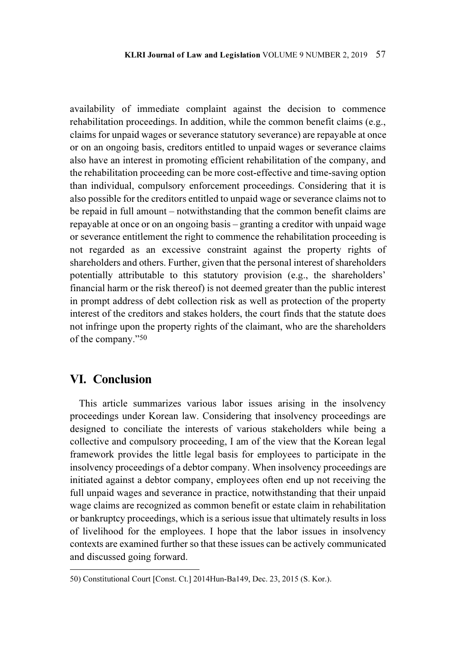availability of immediate complaint against the decision to commence rehabilitation proceedings. In addition, while the common benefit claims (e.g., claims for unpaid wages or severance statutory severance) are repayable at once or on an ongoing basis, creditors entitled to unpaid wages or severance claims also have an interest in promoting efficient rehabilitation of the company, and the rehabilitation proceeding can be more cost-effective and time-saving option than individual, compulsory enforcement proceedings. Considering that it is also possible for the creditors entitled to unpaid wage or severance claims not to be repaid in full amount – notwithstanding that the common benefit claims are repayable at once or on an ongoing basis – granting a creditor with unpaid wage or severance entitlement the right to commence the rehabilitation proceeding is not regarded as an excessive constraint against the property rights of shareholders and others. Further, given that the personal interest of shareholders potentially attributable to this statutory provision (e.g., the shareholders' financial harm or the risk thereof) is not deemed greater than the public interest in prompt address of debt collection risk as well as protection of the property interest of the creditors and stakes holders, the court finds that the statute does not infringe upon the property rights of the claimant, who are the shareholders of the company."<sup>50</sup>

#### VI. Conclusion

This article summarizes various labor issues arising in the insolvency proceedings under Korean law. Considering that insolvency proceedings are designed to conciliate the interests of various stakeholders while being a collective and compulsory proceeding, I am of the view that the Korean legal framework provides the little legal basis for employees to participate in the insolvency proceedings of a debtor company. When insolvency proceedings are initiated against a debtor company, employees often end up not receiving the full unpaid wages and severance in practice, notwithstanding that their unpaid wage claims are recognized as common benefit or estate claim in rehabilitation or bankruptcy proceedings, which is a serious issue that ultimately results in loss of livelihood for the employees. I hope that the labor issues in insolvency contexts are examined further so that these issues can be actively communicated and discussed going forward.

<sup>50)</sup> Constitutional Court [Const. Ct.] 2014Hun-Ba149, Dec. 23, 2015 (S. Kor.).